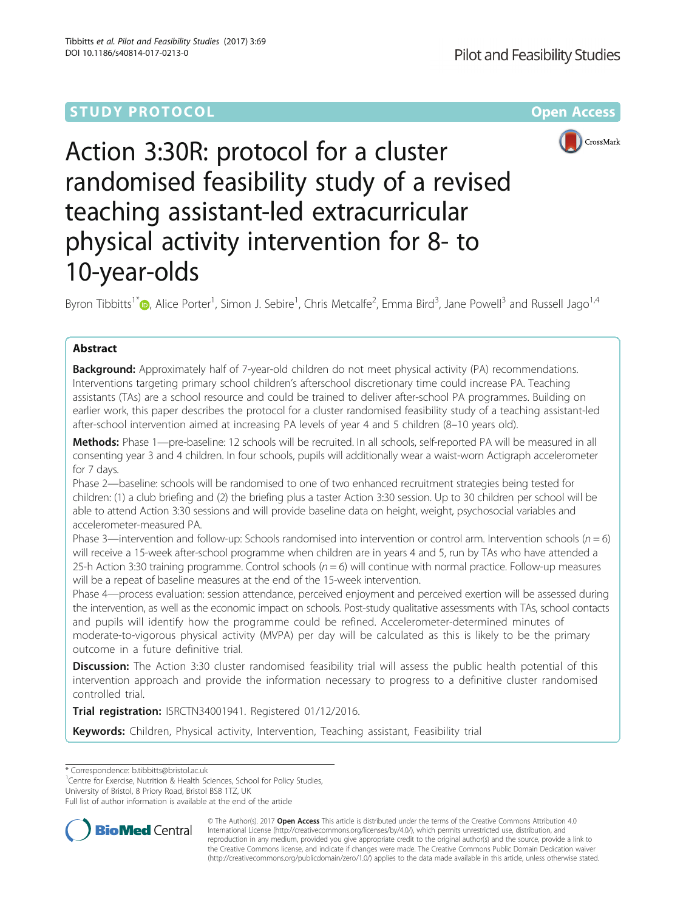## **STUDY PROTOCOL CONSUMING THE RESERVE ACCESS**



# Action 3:30R: protocol for a cluster randomised feasibility study of a revised teaching assistant-led extracurricular physical activity intervention for 8- to 10-year-olds

Byron Tibbitts<sup>1[\\*](http://orcid.org/0000-0001-5818-7080)</sup> (**b**, Alice Porter<sup>1</sup>, Simon J. Sebire<sup>1</sup>, Chris Metcalfe<sup>2</sup>, Emma Bird<sup>3</sup>, Jane Powell<sup>3</sup> and Russell Jago<sup>1,4</sup>

## Abstract

**Background:** Approximately half of 7-year-old children do not meet physical activity (PA) recommendations. Interventions targeting primary school children's afterschool discretionary time could increase PA. Teaching assistants (TAs) are a school resource and could be trained to deliver after-school PA programmes. Building on earlier work, this paper describes the protocol for a cluster randomised feasibility study of a teaching assistant-led after-school intervention aimed at increasing PA levels of year 4 and 5 children (8–10 years old).

Methods: Phase 1—pre-baseline: 12 schools will be recruited. In all schools, self-reported PA will be measured in all consenting year 3 and 4 children. In four schools, pupils will additionally wear a waist-worn Actigraph accelerometer for 7 days.

Phase 2—baseline: schools will be randomised to one of two enhanced recruitment strategies being tested for children: (1) a club briefing and (2) the briefing plus a taster Action 3:30 session. Up to 30 children per school will be able to attend Action 3:30 sessions and will provide baseline data on height, weight, psychosocial variables and accelerometer-measured PA.

Phase 3—intervention and follow-up: Schools randomised into intervention or control arm. Intervention schools ( $n = 6$ ) will receive a 15-week after-school programme when children are in years 4 and 5, run by TAs who have attended a 25-h Action 3:30 training programme. Control schools ( $n = 6$ ) will continue with normal practice. Follow-up measures will be a repeat of baseline measures at the end of the 15-week intervention.

Phase 4—process evaluation: session attendance, perceived enjoyment and perceived exertion will be assessed during the intervention, as well as the economic impact on schools. Post-study qualitative assessments with TAs, school contacts and pupils will identify how the programme could be refined. Accelerometer-determined minutes of moderate-to-vigorous physical activity (MVPA) per day will be calculated as this is likely to be the primary outcome in a future definitive trial.

Discussion: The Action 3:30 cluster randomised feasibility trial will assess the public health potential of this intervention approach and provide the information necessary to progress to a definitive cluster randomised controlled trial.

Trial registration: [ISRCTN34001941.](http://www.isrctn.com/ISRCTN34001941) Registered 01/12/2016.

Keywords: Children, Physical activity, Intervention, Teaching assistant, Feasibility trial

\* Correspondence: [b.tibbitts@bristol.ac.uk](mailto:b.tibbitts@bristol.ac.uk) <sup>1</sup>

<sup>1</sup> Centre for Exercise, Nutrition & Health Sciences, School for Policy Studies,

University of Bristol, 8 Priory Road, Bristol BS8 1TZ, UK

Full list of author information is available at the end of the article



© The Author(s). 2017 **Open Access** This article is distributed under the terms of the Creative Commons Attribution 4.0 International License [\(http://creativecommons.org/licenses/by/4.0/](http://creativecommons.org/licenses/by/4.0/)), which permits unrestricted use, distribution, and reproduction in any medium, provided you give appropriate credit to the original author(s) and the source, provide a link to the Creative Commons license, and indicate if changes were made. The Creative Commons Public Domain Dedication waiver [\(http://creativecommons.org/publicdomain/zero/1.0/](http://creativecommons.org/publicdomain/zero/1.0/)) applies to the data made available in this article, unless otherwise stated.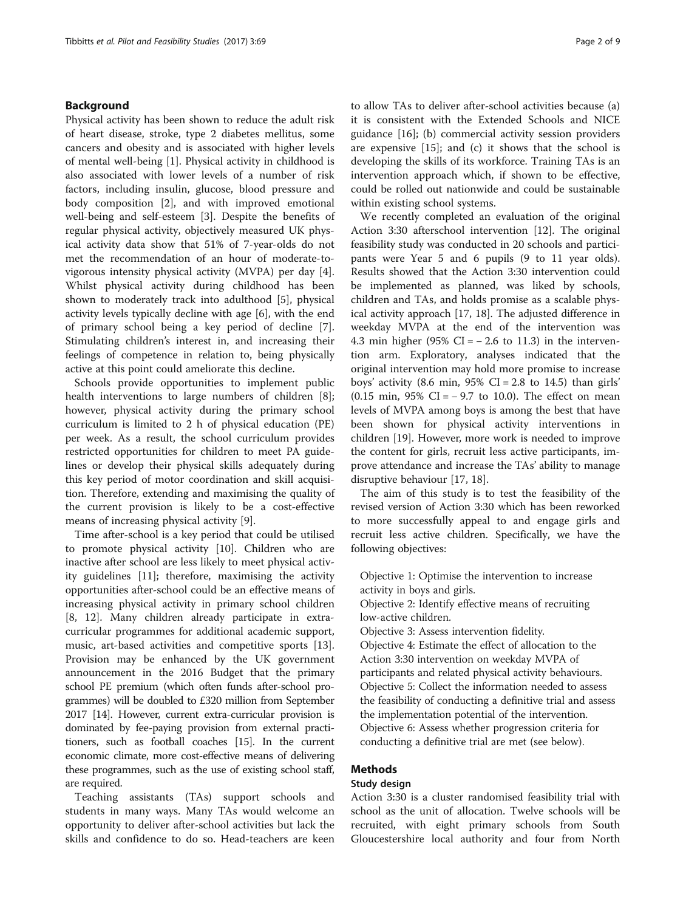## Background

Physical activity has been shown to reduce the adult risk of heart disease, stroke, type 2 diabetes mellitus, some cancers and obesity and is associated with higher levels of mental well-being [\[1](#page-7-0)]. Physical activity in childhood is also associated with lower levels of a number of risk factors, including insulin, glucose, blood pressure and body composition [[2\]](#page-7-0), and with improved emotional well-being and self-esteem [\[3](#page-7-0)]. Despite the benefits of regular physical activity, objectively measured UK physical activity data show that 51% of 7-year-olds do not met the recommendation of an hour of moderate-tovigorous intensity physical activity (MVPA) per day [\[4](#page-7-0)]. Whilst physical activity during childhood has been shown to moderately track into adulthood [\[5](#page-7-0)], physical activity levels typically decline with age [[6\]](#page-7-0), with the end of primary school being a key period of decline [\[7](#page-7-0)]. Stimulating children's interest in, and increasing their feelings of competence in relation to, being physically active at this point could ameliorate this decline.

Schools provide opportunities to implement public health interventions to large numbers of children [\[8](#page-7-0)]; however, physical activity during the primary school curriculum is limited to 2 h of physical education (PE) per week. As a result, the school curriculum provides restricted opportunities for children to meet PA guidelines or develop their physical skills adequately during this key period of motor coordination and skill acquisition. Therefore, extending and maximising the quality of the current provision is likely to be a cost-effective means of increasing physical activity [[9\]](#page-7-0).

Time after-school is a key period that could be utilised to promote physical activity [[10](#page-7-0)]. Children who are inactive after school are less likely to meet physical activity guidelines [[11\]](#page-7-0); therefore, maximising the activity opportunities after-school could be an effective means of increasing physical activity in primary school children [[8, 12\]](#page-7-0). Many children already participate in extracurricular programmes for additional academic support, music, art-based activities and competitive sports [\[13](#page-7-0)]. Provision may be enhanced by the UK government announcement in the 2016 Budget that the primary school PE premium (which often funds after-school programmes) will be doubled to £320 million from September 2017 [\[14\]](#page-7-0). However, current extra-curricular provision is dominated by fee-paying provision from external practitioners, such as football coaches [\[15](#page-7-0)]. In the current economic climate, more cost-effective means of delivering these programmes, such as the use of existing school staff, are required.

Teaching assistants (TAs) support schools and students in many ways. Many TAs would welcome an opportunity to deliver after-school activities but lack the skills and confidence to do so. Head-teachers are keen to allow TAs to deliver after-school activities because (a) it is consistent with the Extended Schools and NICE guidance [\[16](#page-7-0)]; (b) commercial activity session providers are expensive [[15\]](#page-7-0); and (c) it shows that the school is developing the skills of its workforce. Training TAs is an intervention approach which, if shown to be effective, could be rolled out nationwide and could be sustainable within existing school systems.

We recently completed an evaluation of the original Action 3:30 afterschool intervention [[12](#page-7-0)]. The original feasibility study was conducted in 20 schools and participants were Year 5 and 6 pupils (9 to 11 year olds). Results showed that the Action 3:30 intervention could be implemented as planned, was liked by schools, children and TAs, and holds promise as a scalable physical activity approach [[17, 18\]](#page-7-0). The adjusted difference in weekday MVPA at the end of the intervention was 4.3 min higher (95% CI =  $-2.6$  to 11.3) in the intervention arm. Exploratory, analyses indicated that the original intervention may hold more promise to increase boys' activity  $(8.6 \text{ min}, 95\% \text{ CI} = 2.8 \text{ to } 14.5)$  than girls' (0.15 min,  $95\%$  CI =  $-9.7$  to 10.0). The effect on mean levels of MVPA among boys is among the best that have been shown for physical activity interventions in children [[19](#page-7-0)]. However, more work is needed to improve the content for girls, recruit less active participants, improve attendance and increase the TAs' ability to manage disruptive behaviour [\[17](#page-7-0), [18](#page-7-0)].

The aim of this study is to test the feasibility of the revised version of Action 3:30 which has been reworked to more successfully appeal to and engage girls and recruit less active children. Specifically, we have the following objectives:

Objective 1: Optimise the intervention to increase activity in boys and girls.

Objective 2: Identify effective means of recruiting low-active children.

Objective 3: Assess intervention fidelity.

Objective 4: Estimate the effect of allocation to the Action 3:30 intervention on weekday MVPA of participants and related physical activity behaviours. Objective 5: Collect the information needed to assess the feasibility of conducting a definitive trial and assess the implementation potential of the intervention. Objective 6: Assess whether progression criteria for conducting a definitive trial are met (see below).

## Methods

#### Study design

Action 3:30 is a cluster randomised feasibility trial with school as the unit of allocation. Twelve schools will be recruited, with eight primary schools from South Gloucestershire local authority and four from North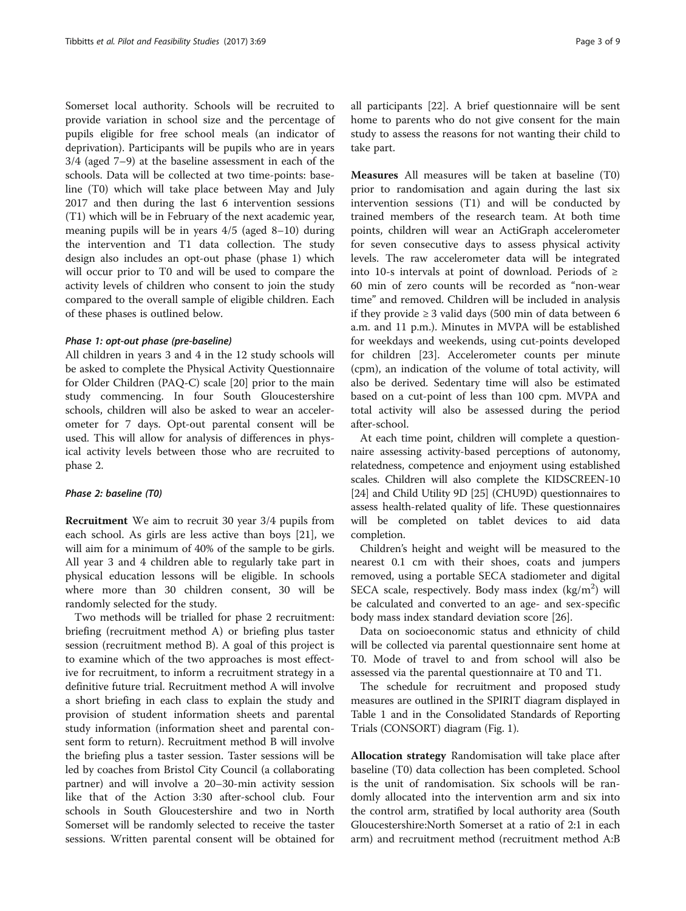Somerset local authority. Schools will be recruited to provide variation in school size and the percentage of pupils eligible for free school meals (an indicator of deprivation). Participants will be pupils who are in years 3/4 (aged 7–9) at the baseline assessment in each of the schools. Data will be collected at two time-points: baseline (T0) which will take place between May and July 2017 and then during the last 6 intervention sessions (T1) which will be in February of the next academic year, meaning pupils will be in years 4/5 (aged 8–10) during the intervention and T1 data collection. The study design also includes an opt-out phase (phase 1) which will occur prior to T0 and will be used to compare the activity levels of children who consent to join the study compared to the overall sample of eligible children. Each of these phases is outlined below.

#### Phase 1: opt-out phase (pre-baseline)

All children in years 3 and 4 in the 12 study schools will be asked to complete the Physical Activity Questionnaire for Older Children (PAQ-C) scale [[20\]](#page-7-0) prior to the main study commencing. In four South Gloucestershire schools, children will also be asked to wear an accelerometer for 7 days. Opt-out parental consent will be used. This will allow for analysis of differences in physical activity levels between those who are recruited to phase 2.

#### Phase 2: baseline (T0)

Recruitment We aim to recruit 30 year 3/4 pupils from each school. As girls are less active than boys [[21\]](#page-7-0), we will aim for a minimum of 40% of the sample to be girls. All year 3 and 4 children able to regularly take part in physical education lessons will be eligible. In schools where more than 30 children consent, 30 will be randomly selected for the study.

Two methods will be trialled for phase 2 recruitment: briefing (recruitment method A) or briefing plus taster session (recruitment method B). A goal of this project is to examine which of the two approaches is most effective for recruitment, to inform a recruitment strategy in a definitive future trial. Recruitment method A will involve a short briefing in each class to explain the study and provision of student information sheets and parental study information (information sheet and parental consent form to return). Recruitment method B will involve the briefing plus a taster session. Taster sessions will be led by coaches from Bristol City Council (a collaborating partner) and will involve a 20–30-min activity session like that of the Action 3:30 after-school club. Four schools in South Gloucestershire and two in North Somerset will be randomly selected to receive the taster sessions. Written parental consent will be obtained for all participants [[22](#page-7-0)]. A brief questionnaire will be sent home to parents who do not give consent for the main study to assess the reasons for not wanting their child to take part.

Measures All measures will be taken at baseline (T0) prior to randomisation and again during the last six intervention sessions (T1) and will be conducted by trained members of the research team. At both time points, children will wear an ActiGraph accelerometer for seven consecutive days to assess physical activity levels. The raw accelerometer data will be integrated into 10-s intervals at point of download. Periods of ≥ 60 min of zero counts will be recorded as "non-wear time" and removed. Children will be included in analysis if they provide  $\geq 3$  valid days (500 min of data between 6 a.m. and 11 p.m.). Minutes in MVPA will be established for weekdays and weekends, using cut-points developed for children [[23\]](#page-7-0). Accelerometer counts per minute (cpm), an indication of the volume of total activity, will also be derived. Sedentary time will also be estimated based on a cut-point of less than 100 cpm. MVPA and total activity will also be assessed during the period after-school.

At each time point, children will complete a questionnaire assessing activity-based perceptions of autonomy, relatedness, competence and enjoyment using established scales. Children will also complete the KIDSCREEN-10 [[24](#page-7-0)] and Child Utility 9D [[25](#page-8-0)] (CHU9D) questionnaires to assess health-related quality of life. These questionnaires will be completed on tablet devices to aid data completion.

Children's height and weight will be measured to the nearest 0.1 cm with their shoes, coats and jumpers removed, using a portable SECA stadiometer and digital SECA scale, respectively. Body mass index (kg/m<sup>2</sup>) will be calculated and converted to an age- and sex-specific body mass index standard deviation score [\[26](#page-8-0)].

Data on socioeconomic status and ethnicity of child will be collected via parental questionnaire sent home at T0. Mode of travel to and from school will also be assessed via the parental questionnaire at T0 and T1.

The schedule for recruitment and proposed study measures are outlined in the SPIRIT diagram displayed in Table [1](#page-3-0) and in the Consolidated Standards of Reporting Trials (CONSORT) diagram (Fig. [1](#page-4-0)).

Allocation strategy Randomisation will take place after baseline (T0) data collection has been completed. School is the unit of randomisation. Six schools will be randomly allocated into the intervention arm and six into the control arm, stratified by local authority area (South Gloucestershire:North Somerset at a ratio of 2:1 in each arm) and recruitment method (recruitment method A:B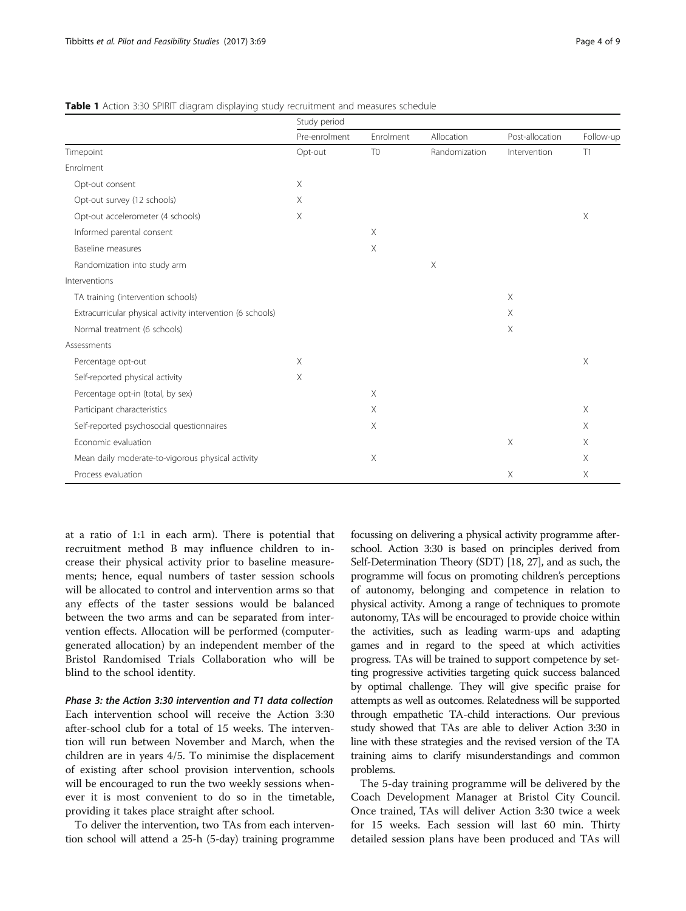|                                                            | Study period  |                |               |                 |           |
|------------------------------------------------------------|---------------|----------------|---------------|-----------------|-----------|
|                                                            | Pre-enrolment | Enrolment      | Allocation    | Post-allocation | Follow-up |
| Timepoint                                                  | Opt-out       | T <sub>0</sub> | Randomization | Intervention    | T1        |
| Enrolment                                                  |               |                |               |                 |           |
| Opt-out consent                                            | $\times$      |                |               |                 |           |
| Opt-out survey (12 schools)                                | $\times$      |                |               |                 |           |
| Opt-out accelerometer (4 schools)                          | Χ             |                |               |                 | Χ         |
| Informed parental consent                                  |               | $\times$       |               |                 |           |
| Baseline measures                                          |               | X              |               |                 |           |
| Randomization into study arm                               |               |                | X             |                 |           |
| Interventions                                              |               |                |               |                 |           |
| TA training (intervention schools)                         |               |                |               | $\times$        |           |
| Extracurricular physical activity intervention (6 schools) |               |                |               | Χ               |           |
| Normal treatment (6 schools)                               |               |                |               | $\times$        |           |
| Assessments                                                |               |                |               |                 |           |
| Percentage opt-out                                         | Χ             |                |               |                 | Χ         |
| Self-reported physical activity                            | Χ             |                |               |                 |           |
| Percentage opt-in (total, by sex)                          |               | $\times$       |               |                 |           |
| Participant characteristics                                |               | $\times$       |               |                 | $\times$  |
| Self-reported psychosocial questionnaires                  |               | X              |               |                 | Χ         |
| Economic evaluation                                        |               |                |               | $\times$        | Χ         |
| Mean daily moderate-to-vigorous physical activity          |               | Χ              |               |                 | X         |
| Process evaluation                                         |               |                |               | $\times$        | $\times$  |

#### <span id="page-3-0"></span>**Table 1** Action 3:30 SPIRIT diagram displaying study recruitment and measures schedule

at a ratio of 1:1 in each arm). There is potential that recruitment method B may influence children to increase their physical activity prior to baseline measurements; hence, equal numbers of taster session schools will be allocated to control and intervention arms so that any effects of the taster sessions would be balanced between the two arms and can be separated from intervention effects. Allocation will be performed (computergenerated allocation) by an independent member of the Bristol Randomised Trials Collaboration who will be blind to the school identity.

Phase 3: the Action 3:30 intervention and T1 data collection Each intervention school will receive the Action 3:30 after-school club for a total of 15 weeks. The intervention will run between November and March, when the children are in years 4/5. To minimise the displacement of existing after school provision intervention, schools will be encouraged to run the two weekly sessions whenever it is most convenient to do so in the timetable, providing it takes place straight after school.

To deliver the intervention, two TAs from each intervention school will attend a 25-h (5-day) training programme focussing on delivering a physical activity programme afterschool. Action 3:30 is based on principles derived from Self-Determination Theory (SDT) [\[18,](#page-7-0) [27](#page-8-0)], and as such, the programme will focus on promoting children's perceptions of autonomy, belonging and competence in relation to physical activity. Among a range of techniques to promote autonomy, TAs will be encouraged to provide choice within the activities, such as leading warm-ups and adapting games and in regard to the speed at which activities progress. TAs will be trained to support competence by setting progressive activities targeting quick success balanced by optimal challenge. They will give specific praise for attempts as well as outcomes. Relatedness will be supported through empathetic TA-child interactions. Our previous study showed that TAs are able to deliver Action 3:30 in line with these strategies and the revised version of the TA training aims to clarify misunderstandings and common problems.

The 5-day training programme will be delivered by the Coach Development Manager at Bristol City Council. Once trained, TAs will deliver Action 3:30 twice a week for 15 weeks. Each session will last 60 min. Thirty detailed session plans have been produced and TAs will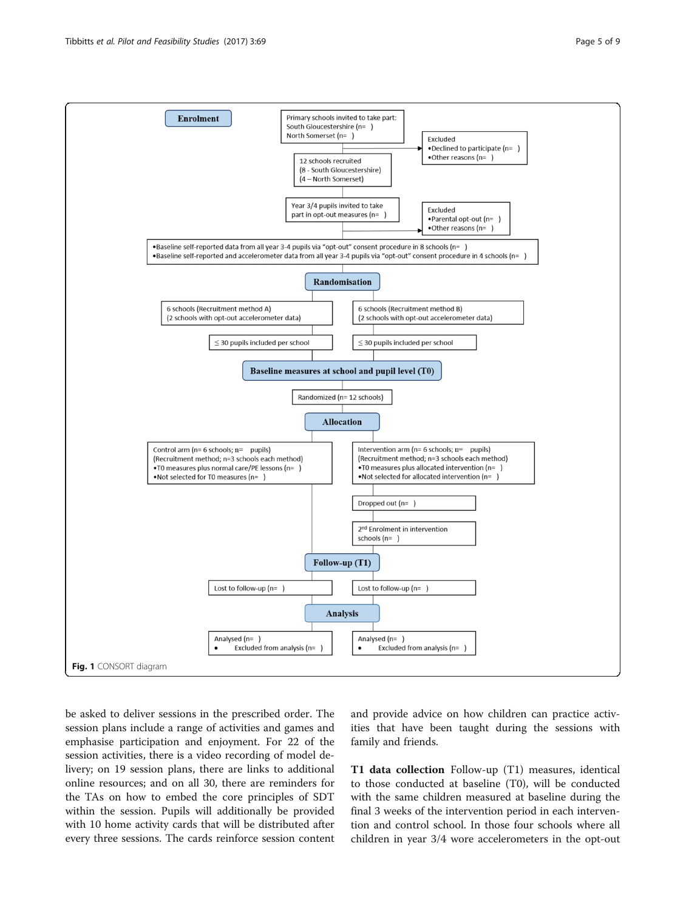<span id="page-4-0"></span>

be asked to deliver sessions in the prescribed order. The session plans include a range of activities and games and emphasise participation and enjoyment. For 22 of the session activities, there is a video recording of model delivery; on 19 session plans, there are links to additional online resources; and on all 30, there are reminders for the TAs on how to embed the core principles of SDT within the session. Pupils will additionally be provided with 10 home activity cards that will be distributed after every three sessions. The cards reinforce session content and provide advice on how children can practice activities that have been taught during the sessions with family and friends.

T1 data collection Follow-up (T1) measures, identical to those conducted at baseline (T0), will be conducted with the same children measured at baseline during the final 3 weeks of the intervention period in each intervention and control school. In those four schools where all children in year 3/4 wore accelerometers in the opt-out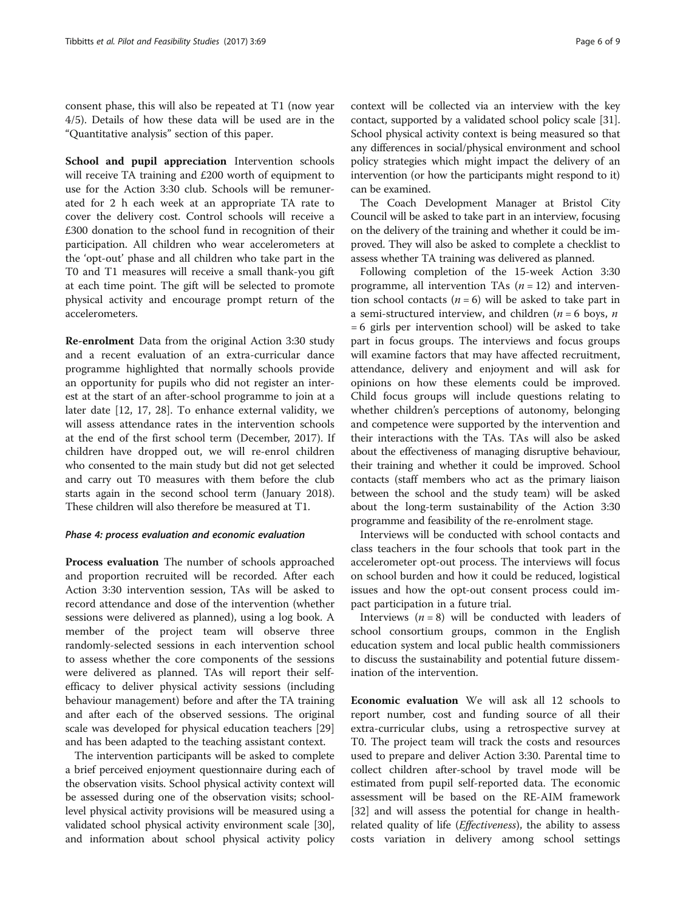consent phase, this will also be repeated at T1 (now year 4/5). Details of how these data will be used are in the "[Quantitative analysis](#page-6-0)" section of this paper.

School and pupil appreciation Intervention schools will receive TA training and £200 worth of equipment to use for the Action 3:30 club. Schools will be remunerated for 2 h each week at an appropriate TA rate to cover the delivery cost. Control schools will receive a £300 donation to the school fund in recognition of their participation. All children who wear accelerometers at the 'opt-out' phase and all children who take part in the T0 and T1 measures will receive a small thank-you gift at each time point. The gift will be selected to promote physical activity and encourage prompt return of the accelerometers.

Re-enrolment Data from the original Action 3:30 study and a recent evaluation of an extra-curricular dance programme highlighted that normally schools provide an opportunity for pupils who did not register an interest at the start of an after-school programme to join at a later date [\[12, 17,](#page-7-0) [28\]](#page-8-0). To enhance external validity, we will assess attendance rates in the intervention schools at the end of the first school term (December, 2017). If children have dropped out, we will re-enrol children who consented to the main study but did not get selected and carry out T0 measures with them before the club starts again in the second school term (January 2018). These children will also therefore be measured at T1.

## Phase 4: process evaluation and economic evaluation

Process evaluation The number of schools approached and proportion recruited will be recorded. After each Action 3:30 intervention session, TAs will be asked to record attendance and dose of the intervention (whether sessions were delivered as planned), using a log book. A member of the project team will observe three randomly-selected sessions in each intervention school to assess whether the core components of the sessions were delivered as planned. TAs will report their selfefficacy to deliver physical activity sessions (including behaviour management) before and after the TA training and after each of the observed sessions. The original scale was developed for physical education teachers [[29](#page-8-0)] and has been adapted to the teaching assistant context.

The intervention participants will be asked to complete a brief perceived enjoyment questionnaire during each of the observation visits. School physical activity context will be assessed during one of the observation visits; schoollevel physical activity provisions will be measured using a validated school physical activity environment scale [[30](#page-8-0)], and information about school physical activity policy

context will be collected via an interview with the key contact, supported by a validated school policy scale [[31](#page-8-0)]. School physical activity context is being measured so that any differences in social/physical environment and school policy strategies which might impact the delivery of an intervention (or how the participants might respond to it) can be examined.

The Coach Development Manager at Bristol City Council will be asked to take part in an interview, focusing on the delivery of the training and whether it could be improved. They will also be asked to complete a checklist to assess whether TA training was delivered as planned.

Following completion of the 15-week Action 3:30 programme, all intervention TAs  $(n = 12)$  and intervention school contacts ( $n = 6$ ) will be asked to take part in a semi-structured interview, and children ( $n = 6$  boys,  $n$ = 6 girls per intervention school) will be asked to take part in focus groups. The interviews and focus groups will examine factors that may have affected recruitment, attendance, delivery and enjoyment and will ask for opinions on how these elements could be improved. Child focus groups will include questions relating to whether children's perceptions of autonomy, belonging and competence were supported by the intervention and their interactions with the TAs. TAs will also be asked about the effectiveness of managing disruptive behaviour, their training and whether it could be improved. School contacts (staff members who act as the primary liaison between the school and the study team) will be asked about the long-term sustainability of the Action 3:30 programme and feasibility of the re-enrolment stage.

Interviews will be conducted with school contacts and class teachers in the four schools that took part in the accelerometer opt-out process. The interviews will focus on school burden and how it could be reduced, logistical issues and how the opt-out consent process could impact participation in a future trial.

Interviews  $(n = 8)$  will be conducted with leaders of school consortium groups, common in the English education system and local public health commissioners to discuss the sustainability and potential future dissemination of the intervention.

Economic evaluation We will ask all 12 schools to report number, cost and funding source of all their extra-curricular clubs, using a retrospective survey at T0. The project team will track the costs and resources used to prepare and deliver Action 3:30. Parental time to collect children after-school by travel mode will be estimated from pupil self-reported data. The economic assessment will be based on the RE-AIM framework [[32\]](#page-8-0) and will assess the potential for change in healthrelated quality of life (*Effectiveness*), the ability to assess costs variation in delivery among school settings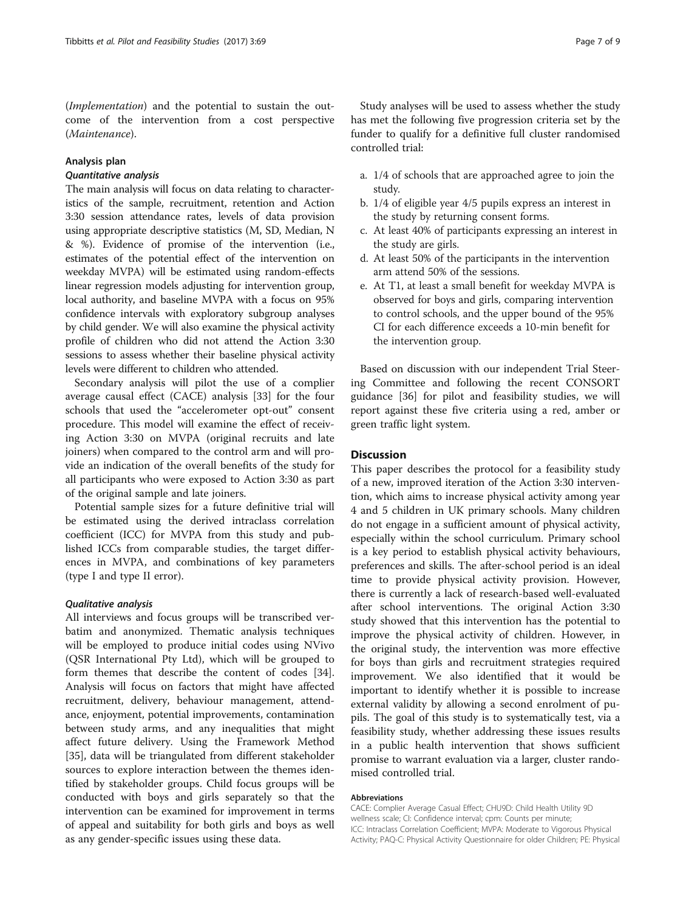<span id="page-6-0"></span>(Implementation) and the potential to sustain the outcome of the intervention from a cost perspective (Maintenance).

## Analysis plan

## Quantitative analysis

The main analysis will focus on data relating to characteristics of the sample, recruitment, retention and Action 3:30 session attendance rates, levels of data provision using appropriate descriptive statistics (M, SD, Median, N & %). Evidence of promise of the intervention (i.e., estimates of the potential effect of the intervention on weekday MVPA) will be estimated using random-effects linear regression models adjusting for intervention group, local authority, and baseline MVPA with a focus on 95% confidence intervals with exploratory subgroup analyses by child gender. We will also examine the physical activity profile of children who did not attend the Action 3:30 sessions to assess whether their baseline physical activity levels were different to children who attended.

Secondary analysis will pilot the use of a complier average causal effect (CACE) analysis [[33\]](#page-8-0) for the four schools that used the "accelerometer opt-out" consent procedure. This model will examine the effect of receiving Action 3:30 on MVPA (original recruits and late joiners) when compared to the control arm and will provide an indication of the overall benefits of the study for all participants who were exposed to Action 3:30 as part of the original sample and late joiners.

Potential sample sizes for a future definitive trial will be estimated using the derived intraclass correlation coefficient (ICC) for MVPA from this study and published ICCs from comparable studies, the target differences in MVPA, and combinations of key parameters (type I and type II error).

#### Qualitative analysis

All interviews and focus groups will be transcribed verbatim and anonymized. Thematic analysis techniques will be employed to produce initial codes using NVivo (QSR International Pty Ltd), which will be grouped to form themes that describe the content of codes [\[34](#page-8-0)]. Analysis will focus on factors that might have affected recruitment, delivery, behaviour management, attendance, enjoyment, potential improvements, contamination between study arms, and any inequalities that might affect future delivery. Using the Framework Method [[35\]](#page-8-0), data will be triangulated from different stakeholder sources to explore interaction between the themes identified by stakeholder groups. Child focus groups will be conducted with boys and girls separately so that the intervention can be examined for improvement in terms of appeal and suitability for both girls and boys as well as any gender-specific issues using these data.

a. 1/4 of schools that are approached agree to join the study.

funder to qualify for a definitive full cluster randomised

- b. 1/4 of eligible year 4/5 pupils express an interest in the study by returning consent forms.
- c. At least 40% of participants expressing an interest in the study are girls.
- d. At least 50% of the participants in the intervention arm attend 50% of the sessions.
- e. At T1, at least a small benefit for weekday MVPA is observed for boys and girls, comparing intervention to control schools, and the upper bound of the 95% CI for each difference exceeds a 10-min benefit for the intervention group.

Based on discussion with our independent Trial Steering Committee and following the recent CONSORT guidance [\[36](#page-8-0)] for pilot and feasibility studies, we will report against these five criteria using a red, amber or green traffic light system.

## **Discussion**

controlled trial:

This paper describes the protocol for a feasibility study of a new, improved iteration of the Action 3:30 intervention, which aims to increase physical activity among year 4 and 5 children in UK primary schools. Many children do not engage in a sufficient amount of physical activity, especially within the school curriculum. Primary school is a key period to establish physical activity behaviours, preferences and skills. The after-school period is an ideal time to provide physical activity provision. However, there is currently a lack of research-based well-evaluated after school interventions. The original Action 3:30 study showed that this intervention has the potential to improve the physical activity of children. However, in the original study, the intervention was more effective for boys than girls and recruitment strategies required improvement. We also identified that it would be important to identify whether it is possible to increase external validity by allowing a second enrolment of pupils. The goal of this study is to systematically test, via a feasibility study, whether addressing these issues results in a public health intervention that shows sufficient promise to warrant evaluation via a larger, cluster randomised controlled trial.

#### Abbreviations

CACE: Complier Average Casual Effect; CHU9D: Child Health Utility 9D wellness scale; CI: Confidence interval; cpm: Counts per minute; ICC: Intraclass Correlation Coefficient; MVPA: Moderate to Vigorous Physical Activity; PAQ-C: Physical Activity Questionnaire for older Children; PE: Physical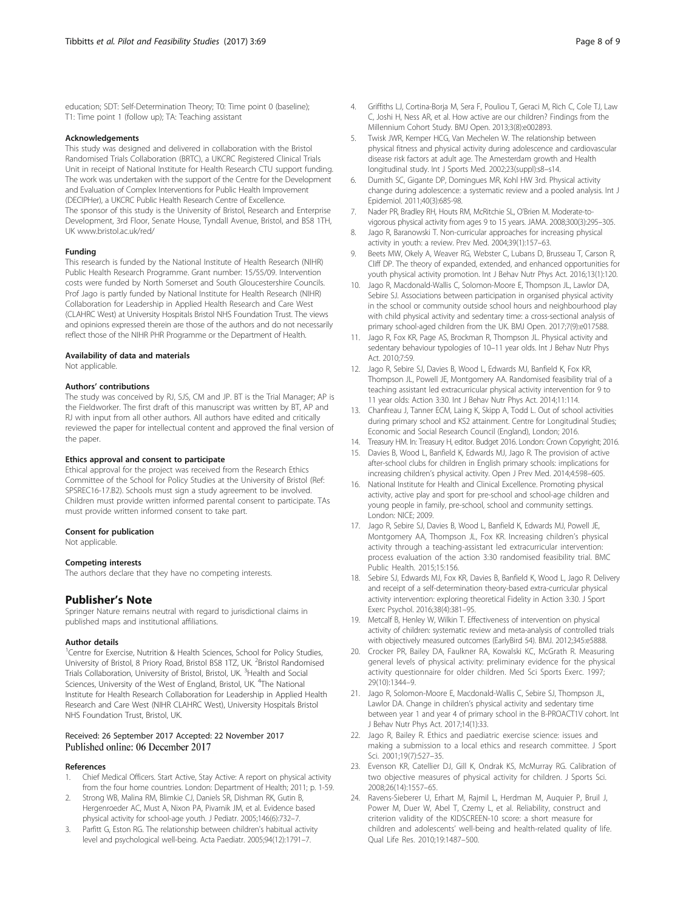<span id="page-7-0"></span>education; SDT: Self-Determination Theory; T0: Time point 0 (baseline); T1: Time point 1 (follow up); TA: Teaching assistant

#### Acknowledgements

This study was designed and delivered in collaboration with the Bristol Randomised Trials Collaboration (BRTC), a UKCRC Registered Clinical Trials Unit in receipt of National Institute for Health Research CTU support funding. The work was undertaken with the support of the Centre for the Development and Evaluation of Complex Interventions for Public Health Improvement (DECIPHer), a UKCRC Public Health Research Centre of Excellence. The sponsor of this study is the University of Bristol, Research and Enterprise Development, 3rd Floor, Senate House, Tyndall Avenue, Bristol, and BS8 1TH, UK [www.bristol.ac.uk/red/](http://www.bristol.ac.uk/red/)

#### Funding

This research is funded by the National Institute of Health Research (NIHR) Public Health Research Programme. Grant number: 15/55/09. Intervention costs were funded by North Somerset and South Gloucestershire Councils. Prof Jago is partly funded by National Institute for Health Research (NIHR) Collaboration for Leadership in Applied Health Research and Care West (CLAHRC West) at University Hospitals Bristol NHS Foundation Trust. The views and opinions expressed therein are those of the authors and do not necessarily reflect those of the NIHR PHR Programme or the Department of Health.

#### Availability of data and materials

Not applicable.

#### Authors' contributions

The study was conceived by RJ, SJS, CM and JP. BT is the Trial Manager; AP is the Fieldworker. The first draft of this manuscript was written by BT, AP and RJ with input from all other authors. All authors have edited and critically reviewed the paper for intellectual content and approved the final version of the paper.

#### Ethics approval and consent to participate

Ethical approval for the project was received from the Research Ethics Committee of the School for Policy Studies at the University of Bristol (Ref: SPSREC16-17.B2). Schools must sign a study agreement to be involved. Children must provide written informed parental consent to participate. TAs must provide written informed consent to take part.

#### Consent for publication

Not applicable.

#### Competing interests

The authors declare that they have no competing interests.

## Publisher's Note

Springer Nature remains neutral with regard to jurisdictional claims in published maps and institutional affiliations.

#### Author details

<sup>1</sup>Centre for Exercise, Nutrition & Health Sciences, School for Policy Studies, University of Bristol, 8 Priory Road, Bristol BS8 1TZ, UK. <sup>2</sup>Bristol Randomised Trials Collaboration, University of Bristol, Bristol, UK.<sup>3</sup> Health and Social Sciences, University of the West of England, Bristol, UK. <sup>4</sup>The National Institute for Health Research Collaboration for Leadership in Applied Health Research and Care West (NIHR CLAHRC West), University Hospitals Bristol NHS Foundation Trust, Bristol, UK.

#### Received: 26 September 2017 Accepted: 22 November 2017 Published online: 06 December 2017

#### References

- 1. Chief Medical Officers. Start Active, Stay Active: A report on physical activity from the four home countries. London: Department of Health; 2011; p. 1-59.
- Strong WB, Malina RM, Blimkie CJ, Daniels SR, Dishman RK, Gutin B, Hergenroeder AC, Must A, Nixon PA, Pivarnik JM, et al. Evidence based physical activity for school-age youth. J Pediatr. 2005;146(6):732–7.
- 3. Parfitt G, Eston RG. The relationship between children's habitual activity level and psychological well-being. Acta Paediatr. 2005;94(12):1791–7.
- 4. Griffiths LJ, Cortina-Borja M, Sera F, Pouliou T, Geraci M, Rich C, Cole TJ, Law C, Joshi H, Ness AR, et al. How active are our children? Findings from the Millennium Cohort Study. BMJ Open. 2013;3(8):e002893.
- 5. Twisk JWR, Kemper HCG, Van Mechelen W. The relationship between physical fitness and physical activity during adolescence and cardiovascular disease risk factors at adult age. The Amesterdam growth and Health longitudinal study. Int J Sports Med. 2002;23(suppl):s8–s14.
- 6. Dumith SC, Gigante DP, Domingues MR, Kohl HW 3rd. Physical activity change during adolescence: a systematic review and a pooled analysis. Int J Epidemiol. 2011;40(3):685-98.
- 7. Nader PR, Bradley RH, Houts RM, McRitchie SL, O'Brien M. Moderate-tovigorous physical activity from ages 9 to 15 years. JAMA. 2008;300(3):295–305.
- 8. Jago R, Baranowski T. Non-curricular approaches for increasing physical activity in youth: a review. Prev Med. 2004;39(1):157–63.
- 9. Beets MW, Okely A, Weaver RG, Webster C, Lubans D, Brusseau T, Carson R, Cliff DP. The theory of expanded, extended, and enhanced opportunities for youth physical activity promotion. Int J Behav Nutr Phys Act. 2016;13(1):120.
- 10. Jago R, Macdonald-Wallis C, Solomon-Moore E, Thompson JL, Lawlor DA, Sebire SJ. Associations between participation in organised physical activity in the school or community outside school hours and neighbourhood play with child physical activity and sedentary time: a cross-sectional analysis of primary school-aged children from the UK. BMJ Open. 2017;7(9):e017588.
- 11. Jago R, Fox KR, Page AS, Brockman R, Thompson JL. Physical activity and sedentary behaviour typologies of 10–11 year olds. Int J Behav Nutr Phys Act. 2010;7:59.
- 12. Jago R, Sebire SJ, Davies B, Wood L, Edwards MJ, Banfield K, Fox KR, Thompson JL, Powell JE, Montgomery AA. Randomised feasibility trial of a teaching assistant led extracurricular physical activity intervention for 9 to 11 year olds: Action 3:30. Int J Behav Nutr Phys Act. 2014;11:114.
- 13. Chanfreau J, Tanner ECM, Laing K, Skipp A, Todd L. Out of school activities during primary school and KS2 attainment. Centre for Longitudinal Studies; Economic and Social Research Council (England), London; 2016.
- 14. Treasury HM. In: Treasury H, editor. Budget 2016. London: Crown Copyright; 2016.
- 15. Davies B, Wood L, Banfield K, Edwards MJ, Jago R. The provision of active after-school clubs for children in English primary schools: implications for increasing children's physical activity. Open J Prev Med. 2014;4:598–605.
- 16. National Institute for Health and Clinical Excellence. Promoting physical activity, active play and sport for pre-school and school-age children and young people in family, pre-school, school and community settings. London: NICE; 2009.
- 17. Jago R, Sebire SJ, Davies B, Wood L, Banfield K, Edwards MJ, Powell JE, Montgomery AA, Thompson JL, Fox KR. Increasing children's physical activity through a teaching-assistant led extracurricular intervention: process evaluation of the action 3:30 randomised feasibility trial. BMC Public Health. 2015;15:156.
- 18. Sebire SJ, Edwards MJ, Fox KR, Davies B, Banfield K, Wood L, Jago R. Delivery and receipt of a self-determination theory-based extra-curricular physical activity intervention: exploring theoretical Fidelity in Action 3:30. J Sport Exerc Psychol. 2016;38(4):381–95.
- 19. Metcalf B, Henley W, Wilkin T. Effectiveness of intervention on physical activity of children: systematic review and meta-analysis of controlled trials with objectively measured outcomes (EarlyBird 54). BMJ. 2012;345:e5888.
- 20. Crocker PR, Bailey DA, Faulkner RA, Kowalski KC, McGrath R. Measuring general levels of physical activity: preliminary evidence for the physical activity questionnaire for older children. Med Sci Sports Exerc. 1997; 29(10):1344–9.
- 21. Jago R, Solomon-Moore E, Macdonald-Wallis C, Sebire SJ, Thompson JL, Lawlor DA. Change in children's physical activity and sedentary time between year 1 and year 4 of primary school in the B-PROACT1V cohort. Int J Behav Nutr Phys Act. 2017;14(1):33.
- 22. Jago R, Bailey R. Ethics and paediatric exercise science: issues and making a submission to a local ethics and research committee. J Sport Sci. 2001;19(7):527–35.
- 23. Evenson KR, Catellier DJ, Gill K, Ondrak KS, McMurray RG. Calibration of two objective measures of physical activity for children. J Sports Sci. 2008;26(14):1557–65.
- 24. Ravens-Sieberer U, Erhart M, Rajmil L, Herdman M, Auquier P, Bruil J, Power M, Duer W, Abel T, Czemy L, et al. Reliability, construct and criterion validity of the KIDSCREEN-10 score: a short measure for children and adolescents' well-being and health-related quality of life. Qual Life Res. 2010;19:1487–500.